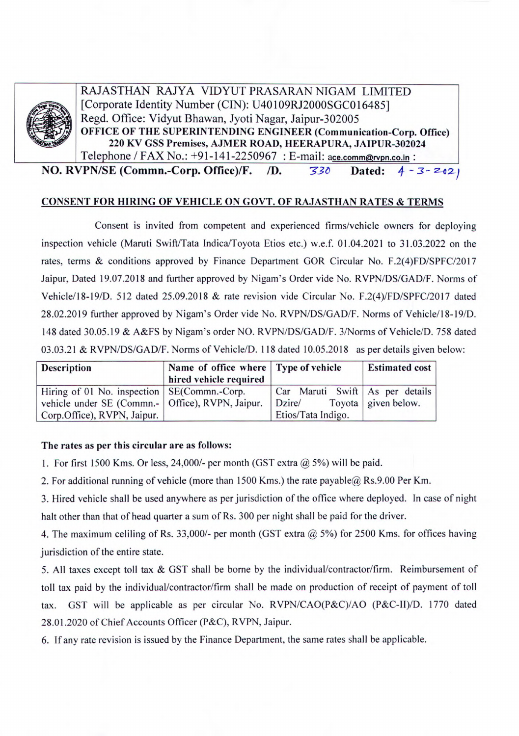

RAJASTHAN RAJYA VIDYUT PRASARAN NIGAM LIMITED [Corporate Identity Number (CIN): U40109RJ2000SGC016485] Regd. Office: Vidyut Bhawan, Jyoti Nagar, Jaipur-302005 **OFFICE OF THE SUPERINTENDING ENGINEER (Communication-Corp. Office) 220 KY GSS Premises, AJMER ROAD, HEERAPURA, JAIPUR-302024** 

**NO. RVPN/SE (Commn.-Corp. Office)/F.** /D. *730* **Dated:** 4 - 3 - 202)

## **CONSENT FOR HIRING OF VEHICLE ON GOVT. OF RAJASTHAN RATES & TERMS**

Consent is invited from competent and experienced firms/vehicle owners for deploying inspection vehicle (Maruti Swift/Tata Indica/Toyota Etios etc.) w.e.f. 01.04.2021 to 31.03.2022 on the rates, terms & conditions approved by Finance Department GOR Circular No. F.2(4)FD/SPFC/2017 Jaipur, Dated 19.07.2018 and further approved by Nigam's Order vide No. RVPN/DS/GAD/F. Norms of Vehicle/18-19/D. 512 dated 25.09.20 18 & rate revision vide Circular No. F.2(4)/FD/SPFC/2017 dated 28.02.2019 further approved by Nigam's Order vide No. RVPN/DS/GAD/F. Norms of Vehicle/18-19/D. 148 dated 30.05.19 & A&FS by Nigam's order NO. RVPN/DS/GAD/F. 3/Norms of Vehicle/D. *758* dated 03.03.21 & RVPN/DS/GAD/F. Norms of Vehicle/D. 118 dated 10.05.2018 as per details given below:

| <b>Description</b>                                          | Name of office where Type of vehicle<br>hired vehicle required |                                 | <b>Estimated cost</b> |
|-------------------------------------------------------------|----------------------------------------------------------------|---------------------------------|-----------------------|
| Hiring of 01 No. inspection   SE(Commn.-Corp.               |                                                                | Car Maruti Swift As per details |                       |
| vehicle under SE (Commn.-   Office), RVPN, Jaipur.   Dzire/ |                                                                |                                 | Toyota given below.   |
| Corp.Office), RVPN, Jaipur.                                 |                                                                | Etios/Tata Indigo.              |                       |

## **The rates as per this circular are as follows:**

1. For first 1500 Kms. Or less, 24,000/- per month (GST extra @ 5%) will be paid.

2. For additional running of vehicle (more than 1500 Kms.) the rate payable@ Rs.9.00 Per Km.

3. Hired vehicle shall be used anywhere as per jurisdiction of the office where deployed. In case of night halt other than that of head quarter a sum of Rs. 300 per night shall be paid for the driver.

4. The maximum celiling of Rs. 33,000/- per month (GST extra @ *5%)* for 2500 Kms. for offices having jurisdiction of the entire state.

5. All taxes except toll tax & GST shall be borne by the individual/contractor/firm. Reimbursement of toll tax paid by the individual/contractor/firm shall be made on production of receipt of payment of toll tax. GST will be applicable as per circular No. RVPN/CAO(P&C)/AO *(P&C-11)/D.* 1770 dated 28.01.2020 of Chief Accounts Officer (P&C), RVPN, Jaipur.

6. If any rate revision is issued by the Finance Department, the same rates shall be applicable.